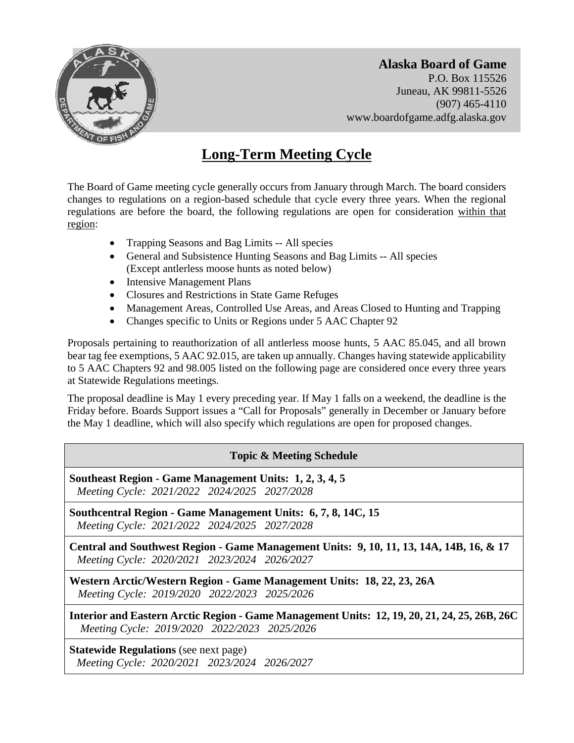

**Alaska Board of Game**  P.O. Box 115526 Juneau, AK 99811-5526 (907) 465-4110 www.boardofgame.adfg.alaska.gov

# **Long-Term Meeting Cycle**

The Board of Game meeting cycle generally occurs from January through March. The board considers changes to regulations on a region-based schedule that cycle every three years. When the regional regulations are before the board, the following regulations are open for consideration within that region:

- Trapping Seasons and Bag Limits -- All species
- General and Subsistence Hunting Seasons and Bag Limits -- All species (Except antlerless moose hunts as noted below)
- Intensive Management Plans
- Closures and Restrictions in State Game Refuges
- Management Areas, Controlled Use Areas, and Areas Closed to Hunting and Trapping
- Changes specific to Units or Regions under 5 AAC Chapter 92

Proposals pertaining to reauthorization of all antlerless moose hunts, 5 AAC 85.045, and all brown bear tag fee exemptions, 5 AAC 92.015, are taken up annually. Changes having statewide applicability to 5 AAC Chapters 92 and 98.005 listed on the following page are considered once every three years at Statewide Regulations meetings.

The proposal deadline is May 1 every preceding year. If May 1 falls on a weekend, the deadline is the Friday before. Boards Support issues a "Call for Proposals" generally in December or January before the May 1 deadline, which will also specify which regulations are open for proposed changes.

# **Topic & Meeting Schedule**

**Southeast Region - Game Management Units: 1, 2, 3, 4, 5**  *Meeting Cycle: 2021/2022 2024/2025 2027/2028* 

**Southcentral Region - Game Management Units: 6, 7, 8, 14C, 15**  *Meeting Cycle: 2021/2022 2024/2025 2027/2028* 

**Central and Southwest Region - Game Management Units: 9, 10, 11, 13, 14A, 14B, 16, & 17**  *Meeting Cycle: 2020/2021 2023/2024 2026/2027* 

**Western Arctic/Western Region - Game Management Units: 18, 22, 23, 26A**  *Meeting Cycle: 2019/2020 2022/2023 2025/2026* 

**Interior and Eastern Arctic Region - Game Management Units: 12, 19, 20, 21, 24, 25, 26B, 26C**  *Meeting Cycle: 2019/2020 2022/2023 2025/2026* 

**Statewide Regulations** (see next page) *Meeting Cycle: 2020/2021 2023/2024 2026/2027*